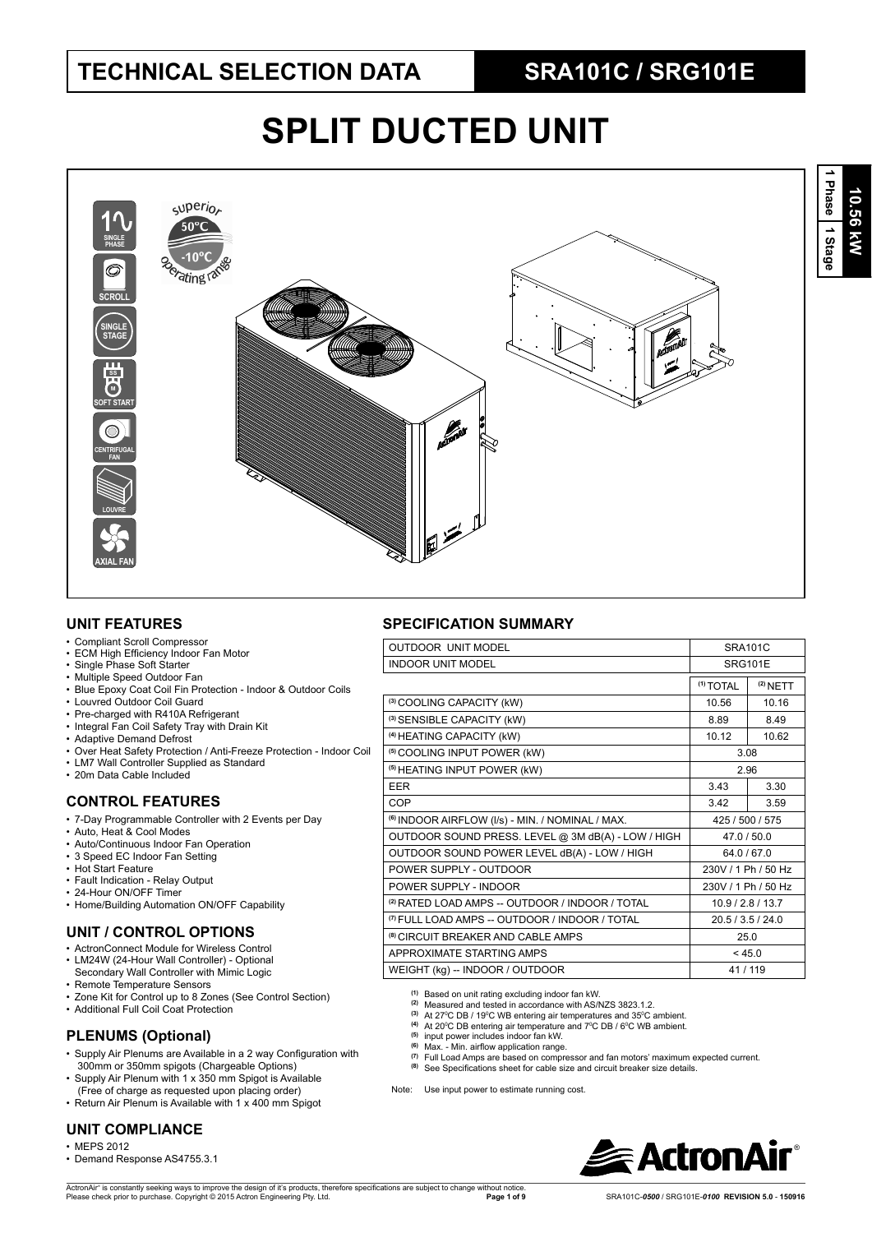# **SPLIT DUCTED UNIT**



## **UNIT FEATURES**

- Compliant Scroll Compressor
- ECM High Efficiency Indoor Fan Motor
- Single Phase Soft Starter
- Multiple Speed Outdoor Fan
- Blue Epoxy Coat Coil Fin Protection Indoor & Outdoor Coils
- Louvred Outdoor Coil Guard
- Pre-charged with R410A Refrigerant
- Integral Fan Coil Safety Tray with Drain Kit
- Adaptive Demand Defrost
- Over Heat Safety Protection / Anti-Freeze Protection Indoor Coil
- LM7 Wall Controller Supplied as Standard • 20m Data Cable Included

## **CONTROL FEATURES**

- 7-Day Programmable Controller with 2 Events per Day
- Auto, Heat & Cool Modes
- Auto/Continuous Indoor Fan Operation
- 3 Speed EC Indoor Fan Setting
- Hot Start Feature
- Fault Indication Relay Output
- 24-Hour ON/OFF Timer
- Home/Building Automation ON/OFF Capability

## **UNIT / CONTROL OPTIONS**

- ActronConnect Module for Wireless Control
- LM24W (24-Hour Wall Controller) Optional Secondary Wall Controller with Mimic Logic
- Remote Temperature Sensors
- 
- Zone Kit for Control up to 8 Zones (See Control Section) • Additional Full Coil Coat Protection

## **PLENUMS (Optional)**

- Supply Air Plenums are Available in a 2 way Configuration with 300mm or 350mm spigots (Chargeable Options)
- Supply Air Plenum with 1 x 350 mm Spigot is Available (Free of charge as requested upon placing order)
- Return Air Plenum is Available with 1 x 400 mm Spigot

### **UNIT COMPLIANCE**

- MEPS 2012
- Demand Response AS4755.3.1

## **SPECIFICATION SUMMARY**

| <b>OUTDOOR UNIT MODEL</b><br><b>SRA101C</b>                 |                      |                     |  |  |
|-------------------------------------------------------------|----------------------|---------------------|--|--|
| <b>INDOOR UNIT MODEL</b>                                    | <b>SRG101E</b>       |                     |  |  |
|                                                             | <sup>(1)</sup> TOTAL | $(2)$ NETT          |  |  |
| (3) COOLING CAPACITY (kW)                                   | 10.56                | 10.16               |  |  |
| (3) SENSIBLE CAPACITY (kW)                                  | 8.89                 | 8.49                |  |  |
| (4) HEATING CAPACITY (kW)                                   | 10.12                | 10.62               |  |  |
| <sup>(5)</sup> COOLING INPUT POWER (kW)                     |                      | 3.08                |  |  |
| <sup>(5)</sup> HEATING INPUT POWER (kW)                     |                      | 2.96                |  |  |
| <b>EER</b>                                                  | 3.43                 | 3.30                |  |  |
| COP                                                         | 3.42                 | 3.59                |  |  |
| <sup>(6)</sup> INDOOR AIRFLOW (I/s) - MIN. / NOMINAL / MAX. | 425 / 500 / 575      |                     |  |  |
| OUTDOOR SOUND PRESS. LEVEL @ 3M dB(A) - LOW / HIGH          | 47.0/50.0            |                     |  |  |
| OUTDOOR SOUND POWER LEVEL dB(A) - LOW / HIGH                | 64.0/67.0            |                     |  |  |
| POWER SUPPLY - OUTDOOR                                      |                      | 230V / 1 Ph / 50 Hz |  |  |
| POWER SUPPLY - INDOOR                                       |                      | 230V / 1 Ph / 50 Hz |  |  |
| <sup>(2)</sup> RATED LOAD AMPS -- OUTDOOR / INDOOR / TOTAL  |                      | 10.9 / 2.8 / 13.7   |  |  |
| <sup>(7)</sup> FULL LOAD AMPS -- OUTDOOR / INDOOR / TOTAL   | 20.5 / 3.5 / 24.0    |                     |  |  |
| <sup>(8)</sup> CIRCUIT BREAKER AND CABLE AMPS               | 25.0                 |                     |  |  |
| APPROXIMATE STARTING AMPS                                   | < 45.0               |                     |  |  |
| WEIGHT (kg) -- INDOOR / OUTDOOR                             |                      | 41/119              |  |  |

**(1)** Based on unit rating excluding indoor fan kW. **(2)** Measured and tested in accordance with AS/NZS 3823.1.2.

- 
- <sup>(3)</sup> At 27<sup>°</sup>C DB / 19<sup>°</sup>C WB entering air temperatures and 35<sup>°</sup>C ambient.
- <sup>(4)</sup> At 20<sup>o</sup>C DB entering air temperature and 7<sup>o</sup>C DB / 6<sup>o</sup>C WB ambient.<br><sup>(5)</sup> input power includes indoor fan kW.
- 
- <sup>(6)</sup> Max. Min. airflow application range.<br><sup>(7)</sup> Full Load Amps are based on compressor and fan motors' maximum expected current.
- (8) See Specifications sheet for cable size and circuit breaker size details.

Note: Use input power to estimate running cost

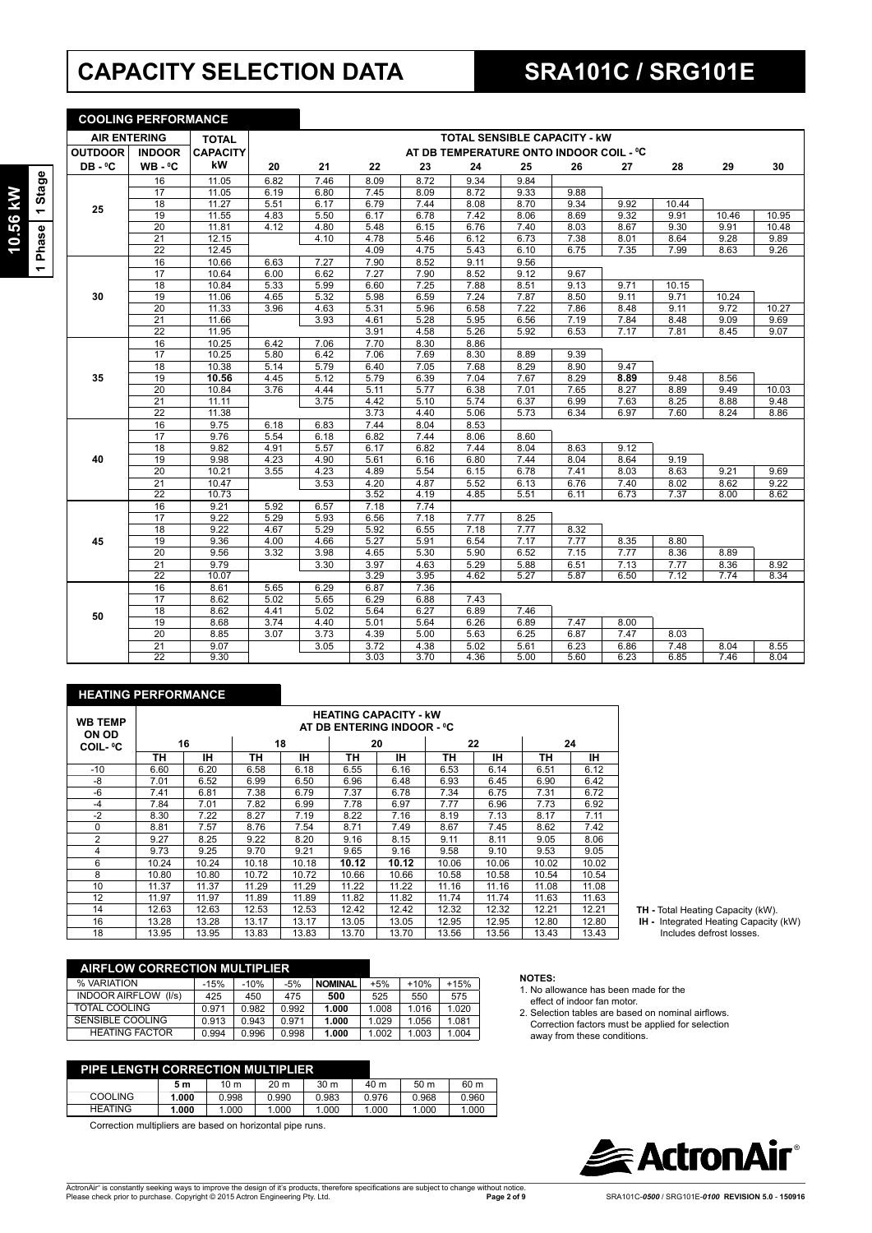# **CAPACITY SELECTION DATA SRA101C / SRG101E**

|                 |         |                 | <b>AIR ENTERING</b> |
|-----------------|---------|-----------------|---------------------|
|                 |         | <b>OUTDOOR</b>  | <b>INDOOR</b>       |
|                 |         | DB-°C           | WB - ºC             |
|                 | 1 Stage |                 | 16                  |
|                 |         |                 | 17                  |
| <b>TU.56 KW</b> |         | 25              | 18                  |
|                 |         |                 | 19                  |
|                 |         |                 | 20                  |
|                 |         |                 | 21                  |
|                 | 1 Phase |                 | 22                  |
|                 |         |                 | 16                  |
|                 |         |                 | 17                  |
|                 |         |                 | 18                  |
|                 |         | 30              | 19                  |
|                 |         |                 | $\overline{20}$     |
|                 |         |                 | $\overline{21}$     |
|                 |         |                 | $\overline{22}$     |
|                 |         |                 | 16                  |
|                 |         |                 | $1\overline{7}$     |
|                 |         |                 | 18                  |
|                 |         | 35              | 19                  |
|                 |         |                 | 20                  |
|                 |         | $\overline{21}$ |                     |
|                 |         |                 | 22                  |
|                 |         |                 | 16                  |

**COOLING PERFORMANCE**

| <b>AIR ENTERING</b> |                 | <b>TOTAL</b>    | <b>TOTAL SENSIBLE CAPACITY - KW</b> |      |      |      |                                         |      |      |      |       |       |       |
|---------------------|-----------------|-----------------|-------------------------------------|------|------|------|-----------------------------------------|------|------|------|-------|-------|-------|
| <b>OUTDOOR</b>      | <b>INDOOR</b>   | <b>CAPACITY</b> |                                     |      |      |      | AT DB TEMPERATURE ONTO INDOOR COIL - °C |      |      |      |       |       |       |
| DB-°C               | $WB - C$        | kW              | 20                                  | 21   | 22   | 23   | 24                                      | 25   | 26   | 27   | 28    | 29    | 30    |
|                     | 16              | 11.05           | 6.82                                | 7.46 | 8.09 | 8.72 | 9.34                                    | 9.84 |      |      |       |       |       |
|                     | 17              | 11.05           | 6.19                                | 6.80 | 7.45 | 8.09 | 8.72                                    | 9.33 | 9.88 |      |       |       |       |
| 25                  | 18              | 11.27           | 5.51                                | 6.17 | 6.79 | 7.44 | 8.08                                    | 8.70 | 9.34 | 9.92 | 10.44 |       |       |
|                     | 19              | 11.55           | 4.83                                | 5.50 | 6.17 | 6.78 | 7.42                                    | 8.06 | 8.69 | 9.32 | 9.91  | 10.46 | 10.95 |
|                     | 20              | 11.81           | 4.12                                | 4.80 | 5.48 | 6.15 | 6.76                                    | 7.40 | 8.03 | 8.67 | 9.30  | 9.91  | 10.48 |
|                     | 21              | 12.15           |                                     | 4.10 | 4.78 | 5.46 | 6.12                                    | 6.73 | 7.38 | 8.01 | 8.64  | 9.28  | 9.89  |
|                     | $\overline{22}$ | 12.45           |                                     |      | 4.09 | 4.75 | 5.43                                    | 6.10 | 6.75 | 7.35 | 7.99  | 8.63  | 9.26  |
|                     | 16              | 10.66           | 6.63                                | 7.27 | 7.90 | 8.52 | 9.11                                    | 9.56 |      |      |       |       |       |
|                     | 17              | 10.64           | 6.00                                | 6.62 | 7.27 | 7.90 | 8.52                                    | 9.12 | 9.67 |      |       |       |       |
|                     | 18              | 10.84           | 5.33                                | 5.99 | 6.60 | 7.25 | 7.88                                    | 8.51 | 9.13 | 9.71 | 10.15 |       |       |
| 30                  | 19              | 11.06           | 4.65                                | 5.32 | 5.98 | 6.59 | 7.24                                    | 7.87 | 8.50 | 9.11 | 9.71  | 10.24 |       |
|                     | $\overline{20}$ | 11.33           | 3.96                                | 4.63 | 5.31 | 5.96 | 6.58                                    | 7.22 | 7.86 | 8.48 | 9.11  | 9.72  | 10.27 |
|                     | $\overline{21}$ | 11.66           |                                     | 3.93 | 4.61 | 5.28 | 5.95                                    | 6.56 | 7.19 | 7.84 | 8.48  | 9.09  | 9.69  |
|                     | 22              | 11.95           |                                     |      | 3.91 | 4.58 | 5.26                                    | 5.92 | 6.53 | 7.17 | 7.81  | 8.45  | 9.07  |
|                     | 16              | 10.25           | 6.42                                | 7.06 | 7.70 | 8.30 | 8.86                                    |      |      |      |       |       |       |
|                     | 17              | 10.25           | 5.80                                | 6.42 | 7.06 | 7.69 | 8.30                                    | 8.89 | 9.39 |      |       |       |       |
|                     | 18              | 10.38           | 5.14                                | 5.79 | 6.40 | 7.05 | 7.68                                    | 8.29 | 8.90 | 9.47 |       |       |       |
| 35                  | 19              | 10.56           | 4.45                                | 5.12 | 5.79 | 6.39 | 7.04                                    | 7.67 | 8.29 | 8.89 | 9.48  | 8.56  |       |
|                     | 20              | 10.84           | 3.76                                | 4.44 | 5.11 | 5.77 | 6.38                                    | 7.01 | 7.65 | 8.27 | 8.89  | 9.49  | 10.03 |
|                     | 21              | 11.11           |                                     | 3.75 | 4.42 | 5.10 | 5.74                                    | 6.37 | 6.99 | 7.63 | 8.25  | 8.88  | 9.48  |
|                     | $\overline{22}$ | 11.38           |                                     |      | 3.73 | 4.40 | 5.06                                    | 5.73 | 6.34 | 6.97 | 7.60  | 8.24  | 8.86  |
|                     | 16              | 9.75            | 6.18                                | 6.83 | 7.44 | 8.04 | 8.53                                    |      |      |      |       |       |       |
|                     | $\overline{17}$ | 9.76            | 5.54                                | 6.18 | 6.82 | 7.44 | 8.06                                    | 8.60 |      |      |       |       |       |
|                     | 18              | 9.82            | 4.91                                | 5.57 | 6.17 | 6.82 | 7.44                                    | 8.04 | 8.63 | 9.12 |       |       |       |
| 40                  | 19              | 9.98            | 4.23                                | 4.90 | 5.61 | 6.16 | 6.80                                    | 7.44 | 8.04 | 8.64 | 9.19  |       |       |
|                     | 20              | 10.21           | 3.55                                | 4.23 | 4.89 | 5.54 | 6.15                                    | 6.78 | 7.41 | 8.03 | 8.63  | 9.21  | 9.69  |
|                     | 21              | 10.47           |                                     | 3.53 | 4.20 | 4.87 | 5.52                                    | 6.13 | 6.76 | 7.40 | 8.02  | 8.62  | 9.22  |
|                     | $\overline{22}$ | 10.73           |                                     |      | 3.52 | 4.19 | 4.85                                    | 5.51 | 6.11 | 6.73 | 7.37  | 8.00  | 8.62  |
|                     | 16              | 9.21            | 5.92                                | 6.57 | 7.18 | 7.74 |                                         |      |      |      |       |       |       |
|                     | 17              | 9.22            | 5.29                                | 5.93 | 6.56 | 7.18 | 7.77                                    | 8.25 |      |      |       |       |       |
|                     | 18              | 9.22            | 4.67                                | 5.29 | 5.92 | 6.55 | 7.18                                    | 7.77 | 8.32 |      |       |       |       |
| 45                  | 19              | 9.36            | 4.00                                | 4.66 | 5.27 | 5.91 | 6.54                                    | 7.17 | 7.77 | 8.35 | 8.80  |       |       |
|                     | 20              | 9.56            | 3.32                                | 3.98 | 4.65 | 5.30 | 5.90                                    | 6.52 | 7.15 | 7.77 | 8.36  | 8.89  |       |
|                     | 21              | 9.79            |                                     | 3.30 | 3.97 | 4.63 | 5.29                                    | 5.88 | 6.51 | 7.13 | 7.77  | 8.36  | 8.92  |
|                     | $\overline{22}$ | 10.07           |                                     |      | 3.29 | 3.95 | 4.62                                    | 5.27 | 5.87 | 6.50 | 7.12  | 7.74  | 8.34  |
|                     | 16              | 8.61            | 5.65                                | 6.29 | 6.87 | 7.36 |                                         |      |      |      |       |       |       |
|                     | $\overline{17}$ | 8.62            | 5.02                                | 5.65 | 6.29 | 6.88 | 7.43                                    |      |      |      |       |       |       |
| 50                  | 18              | 8.62            | 4.41                                | 5.02 | 5.64 | 6.27 | 6.89                                    | 7.46 |      |      |       |       |       |
|                     | 19              | 8.68            | 3.74                                | 4.40 | 5.01 | 5.64 | 6.26                                    | 6.89 | 7.47 | 8.00 |       |       |       |
|                     | 20              | 8.85            | 3.07                                | 3.73 | 4.39 | 5.00 | 5.63                                    | 6.25 | 6.87 | 7.47 | 8.03  |       |       |
|                     | 21              | 9.07            |                                     | 3.05 | 3.72 | 4.38 | 5.02                                    | 5.61 | 6.23 | 6.86 | 7.48  | 8.04  | 8.55  |
|                     | 22              | 9.30            |                                     |      | 3.03 | 3.70 | 4.36                                    | 5.00 | 5.60 | 6.23 | 6.85  | 7.46  | 8.04  |

| <b>HEATING PERFORMANCE</b> |                                                            |       |       |       |       |       |       |       |       |       |
|----------------------------|------------------------------------------------------------|-------|-------|-------|-------|-------|-------|-------|-------|-------|
| <b>WB TEMP</b><br>ON OD    | <b>HEATING CAPACITY - kW</b><br>AT DB ENTERING INDOOR - °C |       |       |       |       |       |       |       |       |       |
| <b>COIL-</b> °C            |                                                            | 16    |       | 18    |       | 20    |       | 22    | 24    |       |
|                            | ΤН                                                         | IΗ    | ΤН    | ۱Н    | ΤН    | IН    | ΤН    | ۱Н    | ΤН    | ıн    |
| $-10$                      | 6.60                                                       | 6.20  | 6.58  | 6.18  | 6.55  | 6.16  | 6.53  | 6.14  | 6.51  | 6.12  |
| -8                         | 7.01                                                       | 6.52  | 6.99  | 6.50  | 6.96  | 6.48  | 6.93  | 6.45  | 6.90  | 6.42  |
| $-6$                       | 7.41                                                       | 6.81  | 7.38  | 6.79  | 7.37  | 6.78  | 7.34  | 6.75  | 7.31  | 6.72  |
| $-4$                       | 7.84                                                       | 7.01  | 7.82  | 6.99  | 7.78  | 6.97  | 7.77  | 6.96  | 7.73  | 6.92  |
| $-2$                       | 8.30                                                       | 7.22  | 8.27  | 7.19  | 8.22  | 7.16  | 8.19  | 7.13  | 8.17  | 7.11  |
| 0                          | 8.81                                                       | 7.57  | 8.76  | 7.54  | 8.71  | 7.49  | 8.67  | 7.45  | 8.62  | 7.42  |
| $\overline{2}$             | 9.27                                                       | 8.25  | 9.22  | 8.20  | 9.16  | 8.15  | 9.11  | 8.11  | 9.05  | 8.06  |
| 4                          | 9.73                                                       | 9.25  | 9.70  | 9.21  | 9.65  | 9.16  | 9.58  | 9.10  | 9.53  | 9.05  |
| 6                          | 10.24                                                      | 10.24 | 10.18 | 10.18 | 10.12 | 10.12 | 10.06 | 10.06 | 10.02 | 10.02 |
| 8                          | 10.80                                                      | 10.80 | 10.72 | 10.72 | 10.66 | 10.66 | 10.58 | 10.58 | 10.54 | 10.54 |
| 10                         | 11.37                                                      | 11.37 | 11.29 | 11.29 | 11.22 | 11.22 | 11.16 | 11.16 | 11.08 | 11.08 |
| 12                         | 11.97                                                      | 11.97 | 11.89 | 11.89 | 11.82 | 11.82 | 11.74 | 11.74 | 11.63 | 11.63 |
| 14                         | 12.63                                                      | 12.63 | 12.53 | 12.53 | 12.42 | 12.42 | 12.32 | 12.32 | 12.21 | 12.21 |
| 16                         | 13.28                                                      | 13.28 | 13.17 | 13.17 | 13.05 | 13.05 | 12.95 | 12.95 | 12.80 | 12.80 |
| 18                         | 13.95                                                      | 13.95 | 13.83 | 13.83 | 13.70 | 13.70 | 13.56 | 13.56 | 13.43 | 13.43 |

| <b>AIRFLOW CORRECTION MULTIPLIER</b> |        |        |       |                |       |        |        |  |
|--------------------------------------|--------|--------|-------|----------------|-------|--------|--------|--|
| % VARIATION                          | $-15%$ | $-10%$ | $-5%$ | <b>NOMINAL</b> | $+5%$ | $+10%$ | $+15%$ |  |
| <b>INDOOR AIRFLOW (I/s)</b>          | 425    | 450    | 475   | 500            | 525   | 550    | 575    |  |
| TOTAL COOLING                        | 0.971  | 0.982  | 0.992 | 1.000          | 1.008 | 1.016  | 1.020  |  |
| SENSIBLE COOLING                     | 0.913  | 0.943  | 0.971 | 1.000          | 1.029 | 1.056  | 1.081  |  |
| <b>HEATING FACTOR</b>                | 0.994  | 0.996  | 0.998 | 1.000          | 1.002 | 1.003  | 1.004  |  |

| <b>PIPE LENGTH CORRECTION MULTIPLIER</b> |       |                 |       |       |       |                 |       |
|------------------------------------------|-------|-----------------|-------|-------|-------|-----------------|-------|
|                                          | 5 m   | 10 <sub>m</sub> | 20 m  | 30 m  | 40 m  | 50 <sub>m</sub> | 60 m  |
| <b>COOLING</b>                           | 1.000 | 0.998           | 0.990 | 0.983 | 0.976 | 0.968           | 0.960 |
| <b>HEATING</b>                           | 1.000 | 1.000           | 1.000 | 1.000 | 1.000 | 1.000           | 1.000 |

Correction multipliers are based on horizontal pipe runs.

## **NOTES:**

- 1. No allowance has been made for the effect of indoor fan motor.
- 2. Selection tables are based on nominal airflows.<br>Correction factors must be applied for selection away from these conditions.



**TH -** Total Heating Capacity (kW).  **IH -** Integrated Heating Capacity (kW) Includes defrost losses.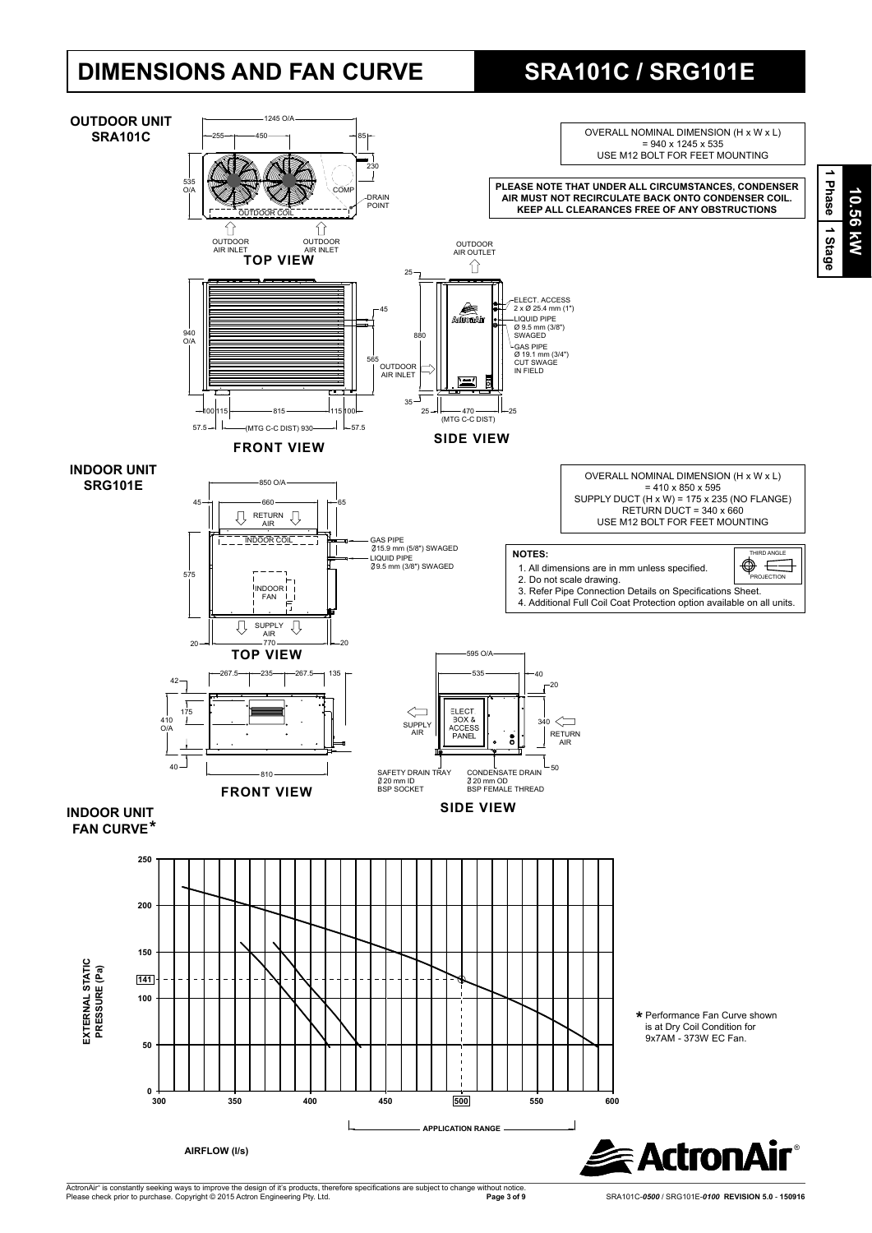# **DIMENSIONS AND FAN CURVE SRA101C / SRG101E**



ActronAir® is constantly seeking ways to improve the design of it's products, therefore specifications are subject to change without notice.<br>Please check prior to purchase. Copyright © 2015 Actron Engineering Pty. Ltd.

 **Page 3 of 9** SRA101C-*0500* / SRG101E-*0100* **REVISION 5.0** - **150916**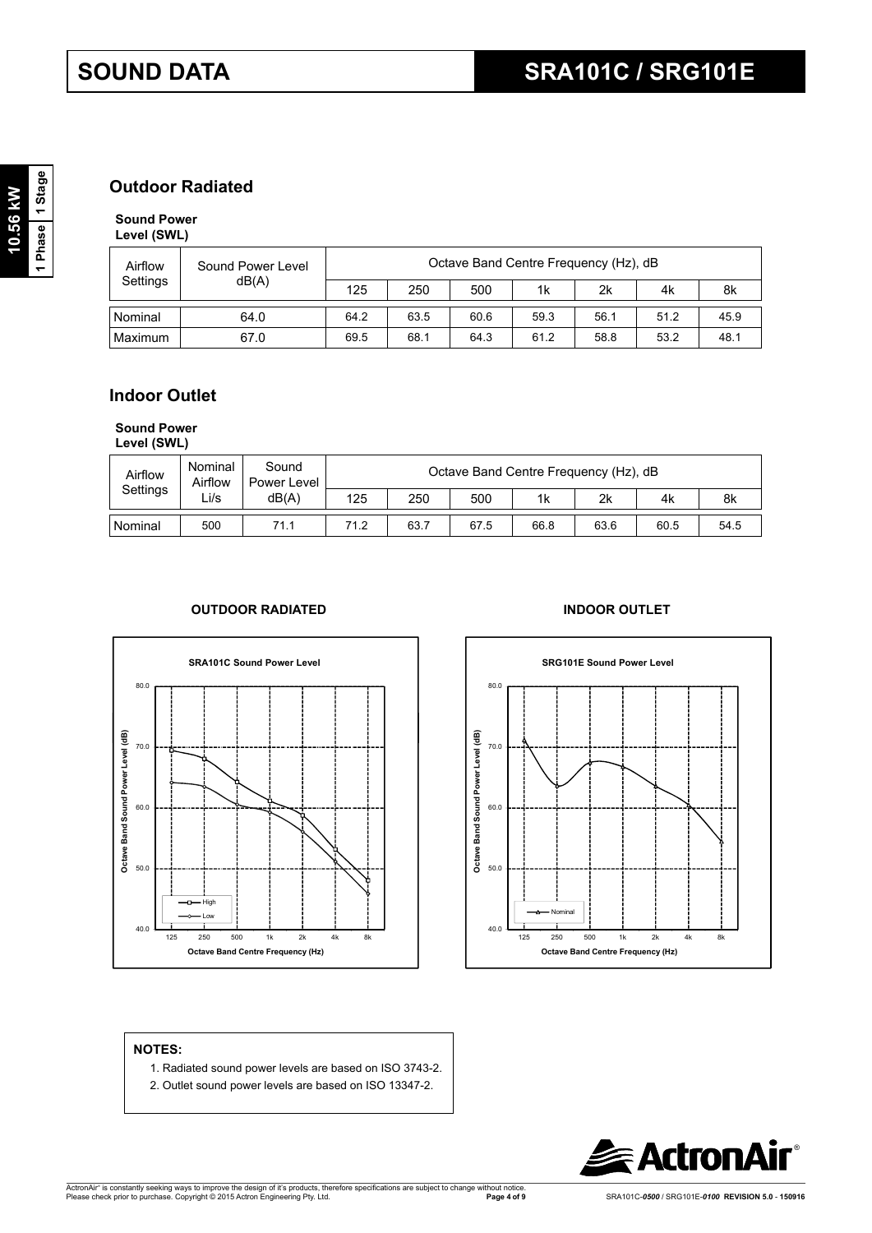## **Outdoor Radiated**

**Sound Power Level (SWL)**

| Airflow  | Sound Power Level | Octave Band Centre Frequency (Hz), dB |      |      |      |      |      |      |  |  |
|----------|-------------------|---------------------------------------|------|------|------|------|------|------|--|--|
| Settings | dB(A)             | 125                                   | 250  | 500  | 1k   | 2k   | 4k   | 8k   |  |  |
| Nominal  | 64.0              | 64.2                                  | 63.5 | 60.6 | 59.3 | 56.1 | 51.2 | 45.9 |  |  |
| Maximum  | 67.0              | 69.5                                  | 68.1 | 64.3 | 61.2 | 58.8 | 53.2 | 48.1 |  |  |

## **Indoor Outlet**

**Sound Power** 

**Level (SWL)**

| Airflow   | Nominal<br>Airflow | Sound<br>Power Level | Octave Band Centre Frequency (Hz), dB |      |      |                |      |      |      |
|-----------|--------------------|----------------------|---------------------------------------|------|------|----------------|------|------|------|
| Settings  | ∟i/s               | dB(A)                | 125                                   | 250  | 500  | 1 <sub>k</sub> | 2k   | 4k   | 8k   |
| l Nominal | 500                | 71.1                 | 71.2                                  | 63.7 | 67.5 | 66.8           | 63.6 | 60.5 | 54.5 |

## **OUTDOOR RADIATED INDOOR OUTLET**





### **NOTES:**

- 1. Radiated sound power levels are based on ISO 3743-2.
- 2. Outlet sound power levels are based on ISO 13347-2.

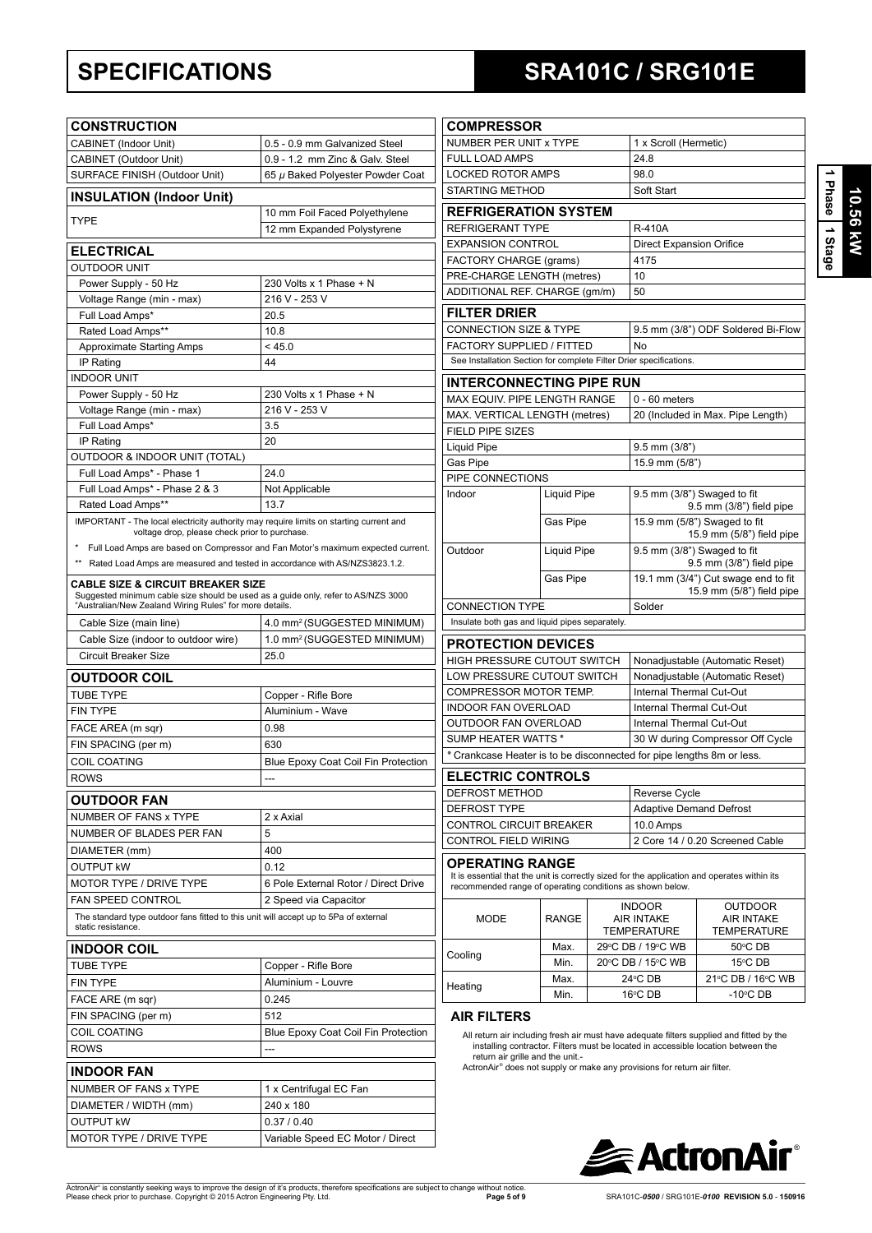# **SPECIFICATIONS SRA101C / SRG101E**

| 9SBI |  |
|------|--|
| Star |  |

| <b>CONSTRUCTION</b>                                                                                                                                                                          |                                                                                  | <b>COMPRESSOR</b>                                                  |
|----------------------------------------------------------------------------------------------------------------------------------------------------------------------------------------------|----------------------------------------------------------------------------------|--------------------------------------------------------------------|
| <b>CABINET (Indoor Unit)</b>                                                                                                                                                                 | 0.5 - 0.9 mm Galvanized Steel                                                    | <b>NUMBER PER UNIT</b>                                             |
| CABINET (Outdoor Unit)                                                                                                                                                                       | 0.9 - 1.2 mm Zinc & Galv, Steel                                                  | FULL LOAD AMPS                                                     |
| SURFACE FINISH (Outdoor Unit)                                                                                                                                                                | 65 µ Baked Polyester Powder Coat                                                 | <b>LOCKED ROTOR AN</b>                                             |
| <b>INSULATION (Indoor Unit)</b>                                                                                                                                                              |                                                                                  | <b>STARTING METHOL</b>                                             |
| <b>TYPE</b>                                                                                                                                                                                  | 10 mm Foil Faced Polyethylene                                                    | <b>REFRIGERATIC</b>                                                |
|                                                                                                                                                                                              | 12 mm Expanded Polystyrene                                                       | <b>REFRIGERANT TYP</b>                                             |
| ELECTRICAL                                                                                                                                                                                   |                                                                                  | <b>EXPANSION CONTR</b><br><b>FACTORY CHARGE</b>                    |
| <b>OUTDOOR UNIT</b>                                                                                                                                                                          |                                                                                  | PRE-CHARGE LENO                                                    |
| Power Supply - 50 Hz                                                                                                                                                                         | 230 Volts x 1 Phase + N                                                          | ADDITIONAL REF. C                                                  |
| Voltage Range (min - max)                                                                                                                                                                    | 216 V - 253 V                                                                    |                                                                    |
| Full Load Amps*                                                                                                                                                                              | 20.5                                                                             | <b>FILTER DRIER</b>                                                |
| Rated Load Amps**<br><b>Approximate Starting Amps</b>                                                                                                                                        | 10.8<br>< 45.0                                                                   | <b>CONNECTION SIZE</b><br><b>FACTORY SUPPLIE</b>                   |
| IP Rating                                                                                                                                                                                    | 44                                                                               | See Installation Section                                           |
| <b>INDOOR UNIT</b>                                                                                                                                                                           |                                                                                  |                                                                    |
| Power Supply - 50 Hz                                                                                                                                                                         | 230 Volts x 1 Phase + N                                                          | <b>INTERCONNEC</b>                                                 |
| Voltage Range (min - max)                                                                                                                                                                    | 216 V - 253 V                                                                    | MAX EQUIV. PIPE LI<br>MAX. VERTICAL LEI                            |
| Full Load Amps*                                                                                                                                                                              | 3.5                                                                              | FIELD PIPE SIZES                                                   |
| IP Rating                                                                                                                                                                                    | 20                                                                               | <b>Liquid Pipe</b>                                                 |
| OUTDOOR & INDOOR UNIT (TOTAL)                                                                                                                                                                |                                                                                  | Gas Pipe                                                           |
| Full Load Amps* - Phase 1                                                                                                                                                                    | 24.0                                                                             | PIPE CONNECTION                                                    |
| Full Load Amps* - Phase 2 & 3                                                                                                                                                                | Not Applicable                                                                   | Indoor                                                             |
| Rated Load Amps**                                                                                                                                                                            | 13.7                                                                             |                                                                    |
| IMPORTANT - The local electricity authority may require limits on starting current and<br>voltage drop, please check prior to purchase.                                                      |                                                                                  |                                                                    |
|                                                                                                                                                                                              | Full Load Amps are based on Compressor and Fan Motor's maximum expected current. |                                                                    |
| ** Rated Load Amps are measured and tested in accordance with AS/NZS3823.1.2.                                                                                                                |                                                                                  | Outdoor                                                            |
|                                                                                                                                                                                              |                                                                                  |                                                                    |
| <b>CABLE SIZE &amp; CIRCUIT BREAKER SIZE</b><br>Suggested minimum cable size should be used as a guide only, refer to AS/NZS 3000<br>"Australian/New Zealand Wiring Rules" for more details. |                                                                                  | <b>CONNECTION TYPE</b>                                             |
| Cable Size (main line)                                                                                                                                                                       | 4.0 mm <sup>2</sup> (SUGGESTED MINIMUM)                                          | Insulate both gas and li                                           |
| Cable Size (indoor to outdoor wire)                                                                                                                                                          | 1.0 mm <sup>2</sup> (SUGGESTED MINIMUM)                                          | <b>PROTECTION D</b>                                                |
| Circuit Breaker Size                                                                                                                                                                         | 25.0                                                                             | <b>HIGH PRESSURE C</b>                                             |
| <b>OUTDOOR COIL</b>                                                                                                                                                                          |                                                                                  | LOW PRESSURE CI                                                    |
| <b>TUBE TYPE</b>                                                                                                                                                                             | Copper - Rifle Bore                                                              | <b>COMPRESSOR MOT</b>                                              |
| <b>FIN TYPE</b>                                                                                                                                                                              | Aluminium - Wave                                                                 | <b>INDOOR FAN OVER</b>                                             |
| FACE AREA (m sqr)                                                                                                                                                                            | 0.98                                                                             | <b>OUTDOOR FAN OVI</b>                                             |
| FIN SPACING (per m)                                                                                                                                                                          | 630                                                                              | SUMP HEATER WAT                                                    |
| <b>COIL COATING</b>                                                                                                                                                                          | <b>Blue Epoxy Coat Coil Fin Protection</b>                                       | * Crankcase Heater i                                               |
| <b>ROWS</b>                                                                                                                                                                                  |                                                                                  | <b>ELECTRIC CON</b>                                                |
| <b>OUTDOOR FAN</b>                                                                                                                                                                           |                                                                                  | DEFROST METHOD                                                     |
| NUMBER OF FANS x TYPE                                                                                                                                                                        | 2 x Axial                                                                        | DEFROST TYPE                                                       |
| NUMBER OF BLADES PER FAN                                                                                                                                                                     | 5                                                                                | CONTROL CIRCUIT                                                    |
| DIAMETER (mm)                                                                                                                                                                                | 400                                                                              | CONTROL FIELD W                                                    |
| OUTPUT kW                                                                                                                                                                                    | 0.12                                                                             | OPERATING RA                                                       |
| MOTOR TYPE / DRIVE TYPE                                                                                                                                                                      | 6 Pole External Rotor / Direct Drive                                             | It is essential that the ui                                        |
| <b>FAN SPEED CONTROL</b>                                                                                                                                                                     | 2 Speed via Capacitor                                                            | recommended range of                                               |
| The standard type outdoor fans fitted to this unit will accept up to 5Pa of external<br>static resistance.                                                                                   |                                                                                  | <b>MODE</b>                                                        |
| <b>INDOOR COIL</b>                                                                                                                                                                           |                                                                                  |                                                                    |
| <b>TUBE TYPE</b>                                                                                                                                                                             | Copper - Rifle Bore                                                              | Cooling                                                            |
| <b>FIN TYPE</b>                                                                                                                                                                              | Aluminium - Louvre                                                               |                                                                    |
| FACE ARE (m sqr)                                                                                                                                                                             | 0.245                                                                            | Heating                                                            |
| FIN SPACING (per m)                                                                                                                                                                          | 512                                                                              | AIR FILTERS                                                        |
| COIL COATING                                                                                                                                                                                 | Blue Epoxy Coat Coil Fin Protection                                              | All return air includin                                            |
| <b>ROWS</b>                                                                                                                                                                                  |                                                                                  |                                                                    |
|                                                                                                                                                                                              |                                                                                  |                                                                    |
|                                                                                                                                                                                              | $\overline{a}$                                                                   |                                                                    |
| <b>INDOOR FAN</b>                                                                                                                                                                            |                                                                                  |                                                                    |
| NUMBER OF FANS x TYPE                                                                                                                                                                        | 1 x Centrifugal EC Fan                                                           |                                                                    |
| DIAMETER / WIDTH (mm)                                                                                                                                                                        | 240 x 180                                                                        |                                                                    |
| OUTPUT KW<br>MOTOR TYPE / DRIVE TYPE                                                                                                                                                         | 0.37 / 0.40<br>Variable Speed EC Motor / Direct                                  | installing contract<br>return air grille an<br>ActronAir® does not |

| NUMBER PER UNIT x TYPE                                                                                                                                                              |                    |  | 1 x Scroll (Hermetic)                                   |                                                                  |  |  |
|-------------------------------------------------------------------------------------------------------------------------------------------------------------------------------------|--------------------|--|---------------------------------------------------------|------------------------------------------------------------------|--|--|
| <b>FULL LOAD AMPS</b>                                                                                                                                                               |                    |  | 24.8                                                    |                                                                  |  |  |
| <b>LOCKED ROTOR AMPS</b>                                                                                                                                                            |                    |  | 98.0                                                    |                                                                  |  |  |
| <b>STARTING METHOD</b>                                                                                                                                                              |                    |  | Soft Start                                              |                                                                  |  |  |
|                                                                                                                                                                                     |                    |  |                                                         |                                                                  |  |  |
| <b>REFRIGERATION SYSTEM</b>                                                                                                                                                         |                    |  |                                                         |                                                                  |  |  |
| <b>REFRIGERANT TYPE</b><br><b>EXPANSION CONTROL</b>                                                                                                                                 |                    |  | <b>R-410A</b>                                           |                                                                  |  |  |
|                                                                                                                                                                                     |                    |  | <b>Direct Expansion Orifice</b><br>4175                 |                                                                  |  |  |
| FACTORY CHARGE (grams)<br>PRE-CHARGE LENGTH (metres)                                                                                                                                |                    |  | 10                                                      |                                                                  |  |  |
| ADDITIONAL REF. CHARGE (gm/m)                                                                                                                                                       |                    |  | 50                                                      |                                                                  |  |  |
| <b>FILTER DRIER</b>                                                                                                                                                                 |                    |  |                                                         |                                                                  |  |  |
| <b>CONNECTION SIZE &amp; TYPE</b>                                                                                                                                                   |                    |  |                                                         | 9.5 mm (3/8") ODF Soldered Bi-Flow                               |  |  |
| FACTORY SUPPLIED / FITTED                                                                                                                                                           |                    |  | No                                                      |                                                                  |  |  |
| See Installation Section for complete Filter Drier specifications.                                                                                                                  |                    |  |                                                         |                                                                  |  |  |
|                                                                                                                                                                                     |                    |  |                                                         |                                                                  |  |  |
| <b>INTERCONNECTING PIPE RUN</b>                                                                                                                                                     |                    |  |                                                         |                                                                  |  |  |
| MAX EQUIV. PIPE LENGTH RANGE                                                                                                                                                        |                    |  | $0 - 60$ meters                                         |                                                                  |  |  |
| MAX. VERTICAL LENGTH (metres)                                                                                                                                                       |                    |  |                                                         | 20 (Included in Max. Pipe Length)                                |  |  |
| <b>FIELD PIPE SIZES</b>                                                                                                                                                             |                    |  |                                                         |                                                                  |  |  |
| <b>Liquid Pipe</b>                                                                                                                                                                  |                    |  | $9.5$ mm $(3/8")$                                       |                                                                  |  |  |
| Gas Pipe<br>PIPE CONNECTIONS                                                                                                                                                        |                    |  | 15.9 mm (5/8")                                          |                                                                  |  |  |
| Indoor                                                                                                                                                                              | <b>Liquid Pipe</b> |  |                                                         |                                                                  |  |  |
|                                                                                                                                                                                     |                    |  | 9.5 mm (3/8") Swaged to fit<br>9.5 mm (3/8") field pipe |                                                                  |  |  |
|                                                                                                                                                                                     | Gas Pipe           |  | 15.9 mm (5/8") Swaged to fit                            |                                                                  |  |  |
|                                                                                                                                                                                     |                    |  |                                                         | 15.9 mm (5/8") field pipe                                        |  |  |
| Outdoor                                                                                                                                                                             | <b>Liquid Pipe</b> |  | 9.5 mm (3/8") Swaged to fit                             | 9.5 mm (3/8") field pipe                                         |  |  |
|                                                                                                                                                                                     | Gas Pipe           |  |                                                         | 19.1 mm (3/4") Cut swage end to fit<br>15.9 mm (5/8") field pipe |  |  |
| <b>CONNECTION TYPE</b>                                                                                                                                                              |                    |  | Solder                                                  |                                                                  |  |  |
| Insulate both gas and liquid pipes separately.                                                                                                                                      |                    |  |                                                         |                                                                  |  |  |
| <b>PROTECTION DEVICES</b>                                                                                                                                                           |                    |  |                                                         |                                                                  |  |  |
| HIGH PRESSURE CUTOUT SWITCH                                                                                                                                                         |                    |  | Nonadjustable (Automatic Reset)                         |                                                                  |  |  |
| LOW PRESSURE CUTOUT SWITCH                                                                                                                                                          |                    |  | Nonadjustable (Automatic Reset)                         |                                                                  |  |  |
| COMPRESSOR MOTOR TEMP.                                                                                                                                                              |                    |  | Internal Thermal Cut-Out                                |                                                                  |  |  |
| <b>INDOOR FAN OVERLOAD</b>                                                                                                                                                          |                    |  | Internal Thermal Cut-Out                                |                                                                  |  |  |
| OUTDOOR FAN OVERLOAD                                                                                                                                                                |                    |  | Internal Thermal Cut-Out                                |                                                                  |  |  |
| <b>SUMP HEATER WATTS*</b>                                                                                                                                                           |                    |  |                                                         | 30 W during Compressor Off Cycle                                 |  |  |
| * Crankcase Heater is to be disconnected for pipe lengths 8m or less.                                                                                                               |                    |  |                                                         |                                                                  |  |  |
| <b>ELECTRIC CONTROLS</b>                                                                                                                                                            |                    |  |                                                         |                                                                  |  |  |
| DEFROST METHOD                                                                                                                                                                      |                    |  | Reverse Cycle                                           |                                                                  |  |  |
| DEFROST TYPE                                                                                                                                                                        |                    |  | <b>Adaptive Demand Defrost</b>                          |                                                                  |  |  |
| CONTROL CIRCUIT BREAKER                                                                                                                                                             |                    |  | 10.0 Amps                                               |                                                                  |  |  |
| <b>CONTROL FIELD WIRING</b>                                                                                                                                                         |                    |  |                                                         | 2 Core 14 / 0.20 Screened Cable                                  |  |  |
| <b>OPERATING RANGE</b><br>It is essential that the unit is correctly sized for the application and operates within its<br>recommended range of operating conditions as shown below. |                    |  |                                                         |                                                                  |  |  |
|                                                                                                                                                                                     |                    |  | <b>INDOOR</b><br>OUTDOOR                                |                                                                  |  |  |
| <b>MODE</b>                                                                                                                                                                         | <b>RANGE</b>       |  | <b>AIR INTAKE</b>                                       | AIR INTAKE                                                       |  |  |
|                                                                                                                                                                                     |                    |  | <b>TEMPERATURE</b>                                      | <b>TEMPERATURE</b>                                               |  |  |
| Cooling                                                                                                                                                                             | Max.               |  | 29°C DB / 19°C WB                                       | 50°C DB                                                          |  |  |
|                                                                                                                                                                                     | Min.               |  | 20°C DB / 15°C WB                                       | 15°C DB                                                          |  |  |
| Heating                                                                                                                                                                             | Max.               |  | $24^{\circ}$ CDB                                        | 21°C DB / 16°C WB                                                |  |  |
|                                                                                                                                                                                     | Min.               |  | 16°C DB                                                 | -10 $\rm ^{\circ}$ CDB                                           |  |  |
| AID FILTEDO                                                                                                                                                                         |                    |  |                                                         |                                                                  |  |  |

### **AIR FILTERS**

All return air including fresh air must have adequate filters supplied and fitted by the installing contractor. Filters must be located in accessible location between the<br>return air grille and the unit.-<br>ActronAir® does not supply or make any provisions for return air filter.



ActronAir® is constantly seeking ways to improve the design of it's products, therefore specifications are subject to change without notice.<br>Please check prior to purchase. Copyright © 2015 Actron Engineering Pty. Ltd.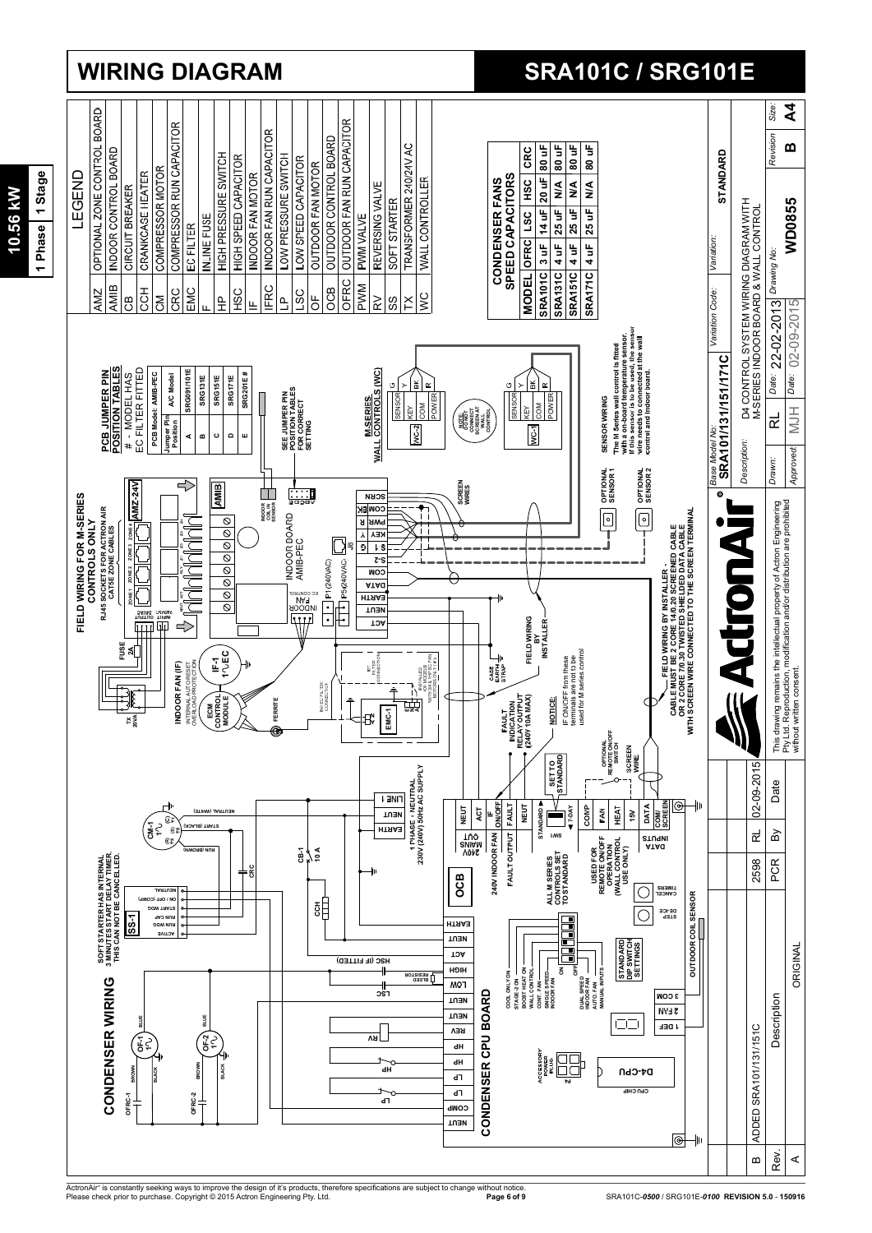

ActronAir® is constantly seeking ways to improve the design of it's products, therefore specifications are subject to change without notice.<br>Please check prior to purchase. Copyright © 2015 Actron Engineering Pty. Ltd.

## 1 Phase 1 Stage **1 Phase 1 Stage 10.56 kW** 10.56 kW

## **WIRING DIAGRAM SRA101C / SRG101E**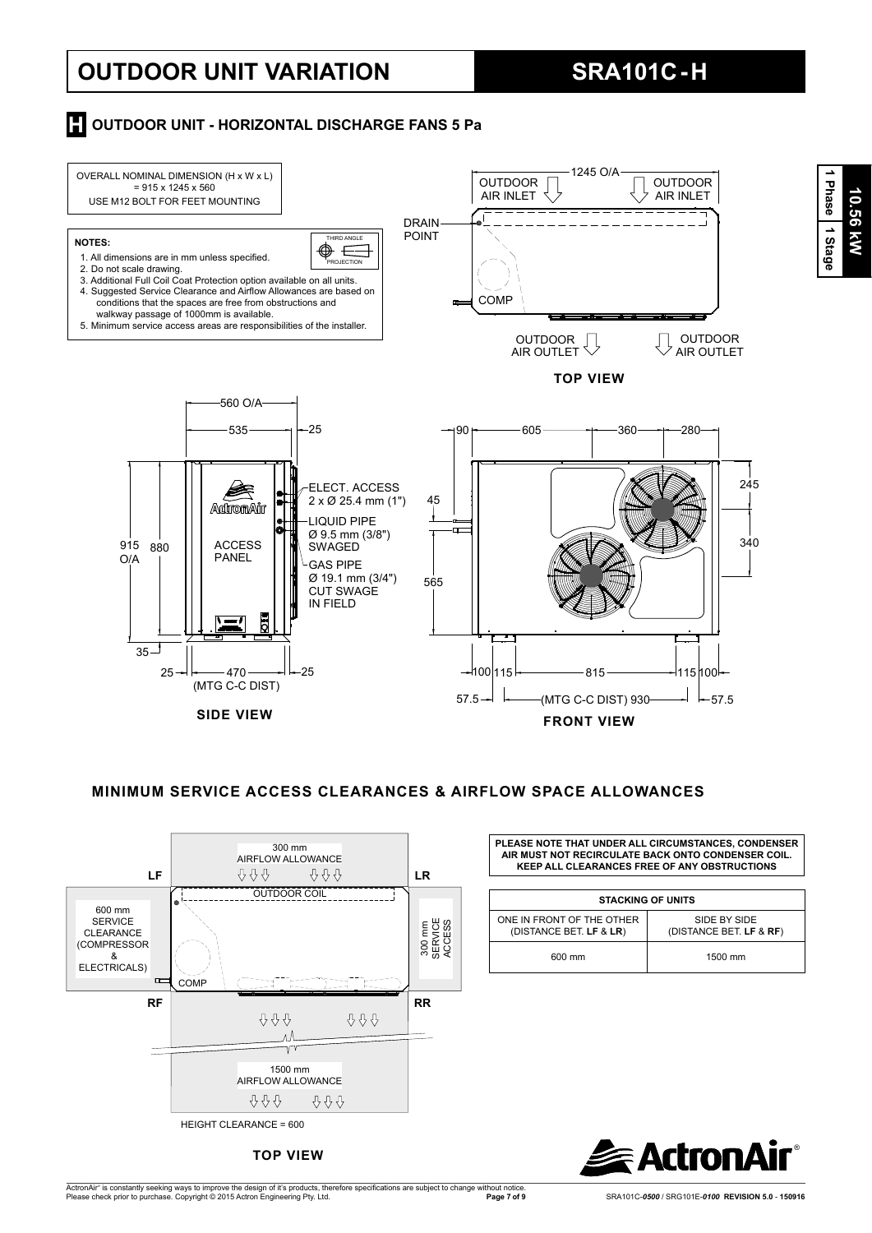# **OUTDOOR UNIT VARIATION SRA101C - H**

## **H** OUTDOOR UNIT - HORIZONTAL DISCHARGE FANS 5 Pa



## **MINIMUM SERVICE ACCESS CLEARANCES & AIRFLOW SPACE ALLOWANCES**



**TOP VIEW**

**PLEASE NOTE THAT UNDER ALL CIRCUMSTANCES, CONDENSER AIR MUST NOT RECIRCULATE BACK ONTO CONDENSER COIL. KEEP ALL CLEARANCES FREE OF ANY OBSTRUCTIONS**

| <b>STACKING OF UNITS</b>                             |  |                                         |  |  |  |  |
|------------------------------------------------------|--|-----------------------------------------|--|--|--|--|
| ONE IN FRONT OF THE OTHER<br>(DISTANCE BET. LF & LR) |  | SIDE BY SIDE<br>(DISTANCE BET. LF & RF) |  |  |  |  |
| 600 mm                                               |  | 1500 mm                                 |  |  |  |  |

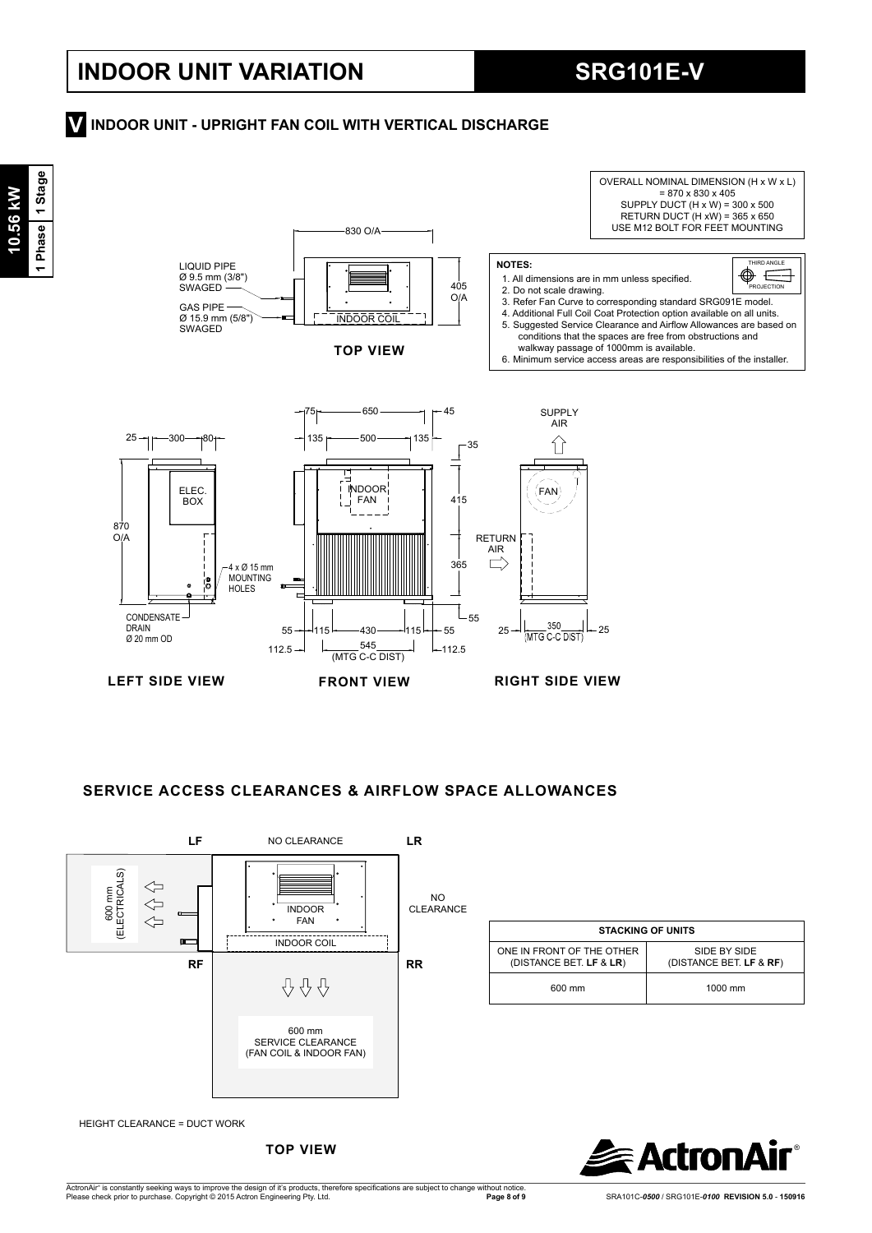## **INDOOR UNIT VARIATION SRG101E-V**

## **INDOOR UNIT - UPRIGHT FAN COIL WITH VERTICAL DISCHARGE V**



## **SERVICE ACCESS CLEARANCES & AIRFLOW SPACE ALLOWANCES**



**TOP VIEW**

®**R**